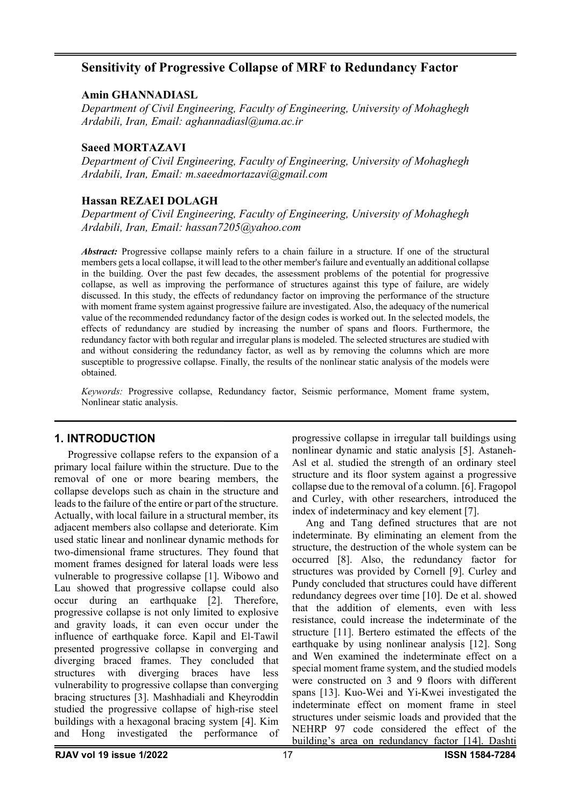# **Sensitivity of Progressive Collapse of MRF to Redundancy Factor**

## **Amin GHANNADIASL**

*Department of Civil Engineering, Faculty of Engineering, University of Mohaghegh Ardabili, Iran, Email: aghannadiasl@uma.ac.ir*

## **Saeed MORTAZAVI**

*Department of Civil Engineering, Faculty of Engineering, University of Mohaghegh Ardabili, Iran, Email: m.saeedmortazavi@gmail.com*

# **Hassan REZAEI DOLAGH**

*Department of Civil Engineering, Faculty of Engineering, University of Mohaghegh Ardabili, Iran, Email: hassan7205@yahoo.com*

*Abstract:* Progressive collapse mainly refers to a chain failure in a structure. If one of the structural members gets a local collapse, it will lead to the other member's failure and eventually an additional collapse in the building. Over the past few decades, the assessment problems of the potential for progressive collapse, as well as improving the performance of structures against this type of failure, are widely discussed. In this study, the effects of redundancy factor on improving the performance of the structure with moment frame system against progressive failure are investigated. Also, the adequacy of the numerical value of the recommended redundancy factor of the design codes is worked out. In the selected models, the effects of redundancy are studied by increasing the number of spans and floors. Furthermore, the redundancy factor with both regular and irregular plans is modeled. The selected structures are studied with and without considering the redundancy factor, as well as by removing the columns which are more susceptible to progressive collapse. Finally, the results of the nonlinear static analysis of the models were obtained.

*Keywords:* Progressive collapse, Redundancy factor, Seismic performance, Moment frame system, Nonlinear static analysis.

# **1. INTRODUCTION**

Progressive collapse refers to the expansion of a primary local failure within the structure. Due to the removal of one or more bearing members, the collapse develops such as chain in the structure and leads to the failure of the entire or part of the structure. Actually, with local failure in a structural member, its adjacent members also collapse and deteriorate. Kim used static linear and nonlinear dynamic methods for two-dimensional frame structures. They found that moment frames designed for lateral loads were less vulnerable to progressive collapse [1]. Wibowo and Lau showed that progressive collapse could also occur during an earthquake [2]. Therefore, progressive collapse is not only limited to explosive and gravity loads, it can even occur under the influence of earthquake force. Kapil and El-Tawil presented progressive collapse in converging and diverging braced frames. They concluded that structures with diverging braces have less vulnerability to progressive collapse than converging bracing structures [3]. Mashhadiali and Kheyroddin studied the progressive collapse of high-rise steel buildings with a hexagonal bracing system [4]. Kim and Hong investigated the performance of

progressive collapse in irregular tall buildings using nonlinear dynamic and static analysis [5]. Astaneh-Asl et al. studied the strength of an ordinary steel structure and its floor system against a progressive collapse due to the removal of a column. [6]. Fragopol and Curley, with other researchers, introduced the index of indeterminacy and key element [7].

Ang and Tang defined structures that are not indeterminate. By eliminating an element from the structure, the destruction of the whole system can be occurred [8]. Also, the redundancy factor for structures was provided by Cornell [9]. Curley and Pundy concluded that structures could have different redundancy degrees over time [10]. De et al. showed that the addition of elements, even with less resistance, could increase the indeterminate of the structure [11]. Bertero estimated the effects of the earthquake by using nonlinear analysis [12]. Song and Wen examined the indeterminate effect on a special moment frame system, and the studied models were constructed on 3 and 9 floors with different spans [13]. Kuo-Wei and Yi-Kwei investigated the indeterminate effect on moment frame in steel structures under seismic loads and provided that the NEHRP 97 code considered the effect of the building's area on redundancy factor [14]. Dashti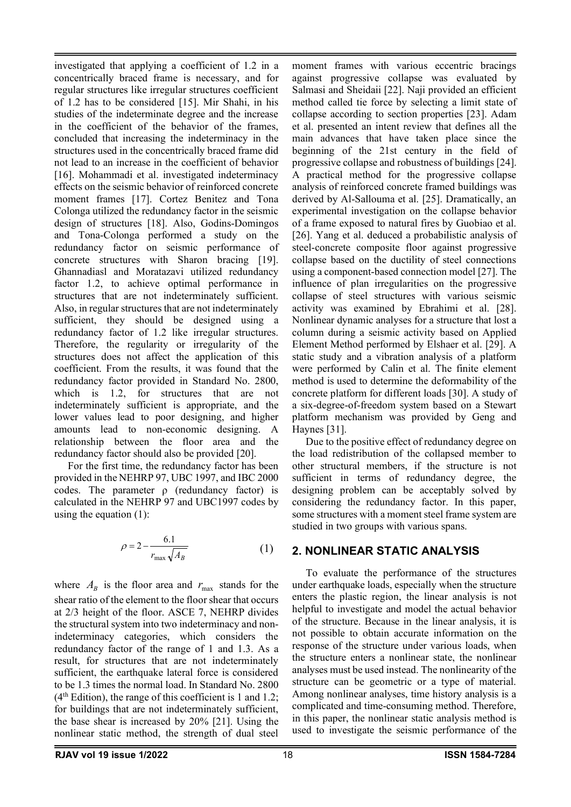investigated that applying a coefficient of 1.2 in a concentrically braced frame is necessary, and for regular structures like irregular structures coefficient of 1.2 has to be considered [15]. Mir Shahi, in his studies of the indeterminate degree and the increase in the coefficient of the behavior of the frames, concluded that increasing the indeterminacy in the structures used in the concentrically braced frame did not lead to an increase in the coefficient of behavior [16]. Mohammadi et al. investigated indeterminacy effects on the seismic behavior of reinforced concrete moment frames [17]. Cortez Benitez and Tona Colonga utilized the redundancy factor in the seismic design of structures [18]. Also, Godins-Domingos and Tona-Colonga performed a study on the redundancy factor on seismic performance of concrete structures with Sharon bracing [19]. Ghannadiasl and Moratazavi utilized redundancy factor 1.2, to achieve optimal performance in structures that are not indeterminately sufficient. Also, in regular structures that are not indeterminately sufficient, they should be designed using a redundancy factor of 1.2 like irregular structures. Therefore, the regularity or irregularity of the structures does not affect the application of this coefficient. From the results, it was found that the redundancy factor provided in Standard No. 2800, which is 1.2, for structures that are not indeterminately sufficient is appropriate, and the lower values lead to poor designing, and higher amounts lead to non-economic designing. A relationship between the floor area and the redundancy factor should also be provided [20].

For the first time, the redundancy factor has been provided in the NEHRP 97, UBC 1997, and IBC 2000 codes. The parameter  $\rho$  (redundancy factor) is calculated in the NEHRP 97 and UBC1997 codes by using the equation (1):

$$
\rho = 2 - \frac{6.1}{r_{\text{max}} \sqrt{A_B}} \tag{1}
$$

where  $A_B$  is the floor area and  $r_{\text{max}}$  stands for the shear ratio of the element to the floor shear that occurs at 2/3 height of the floor. ASCE 7, NEHRP divides the structural system into two indeterminacy and nonindeterminacy categories, which considers the redundancy factor of the range of 1 and 1.3. As a result, for structures that are not indeterminately sufficient, the earthquake lateral force is considered to be 1.3 times the normal load. In Standard No. 2800  $(4<sup>th</sup> Edition)$ , the range of this coefficient is 1 and 1.2; for buildings that are not indeterminately sufficient, the base shear is increased by 20% [21]. Using the nonlinear static method, the strength of dual steel

moment frames with various eccentric bracings against progressive collapse was evaluated by Salmasi and Sheidaii [22]. Naji provided an efficient method called tie force by selecting a limit state of collapse according to section properties [23]. Adam et al. presented an intent review that defines all the main advances that have taken place since the beginning of the 21st century in the field of progressive collapse and robustness of buildings [24]. A practical method for the progressive collapse analysis of reinforced concrete framed buildings was derived by Al-Sallouma et al. [25]. Dramatically, an experimental investigation on the collapse behavior of a frame exposed to natural fires by Guobiao et al. [26]. Yang et al. deduced a probabilistic analysis of steel-concrete composite floor against progressive collapse based on the ductility of steel connections using a component-based connection model [27]. The influence of plan irregularities on the progressive collapse of steel structures with various seismic activity was examined by Ebrahimi et al. [28]. Nonlinear dynamic analyses for a structure that lost a column during a seismic activity based on Applied Element Method performed by Elshaer et al. [29]. A static study and a vibration analysis of a platform were performed by Calin et al. The finite element method is used to determine the deformability of the concrete platform for different loads [30]. A study of a six-degree-of-freedom system based on a Stewart platform mechanism was provided by Geng and Haynes [31].

Due to the positive effect of redundancy degree on the load redistribution of the collapsed member to other structural members, if the structure is not sufficient in terms of redundancy degree, the designing problem can be acceptably solved by considering the redundancy factor. In this paper, some structures with a moment steel frame system are studied in two groups with various spans.

## **2. NONLINEAR STATIC ANALYSIS**

To evaluate the performance of the structures under earthquake loads, especially when the structure enters the plastic region, the linear analysis is not helpful to investigate and model the actual behavior of the structure. Because in the linear analysis, it is not possible to obtain accurate information on the response of the structure under various loads, when the structure enters a nonlinear state, the nonlinear analyses must be used instead. The nonlinearity of the structure can be geometric or a type of material. Among nonlinear analyses, time history analysis is a complicated and time-consuming method. Therefore, in this paper, the nonlinear static analysis method is used to investigate the seismic performance of the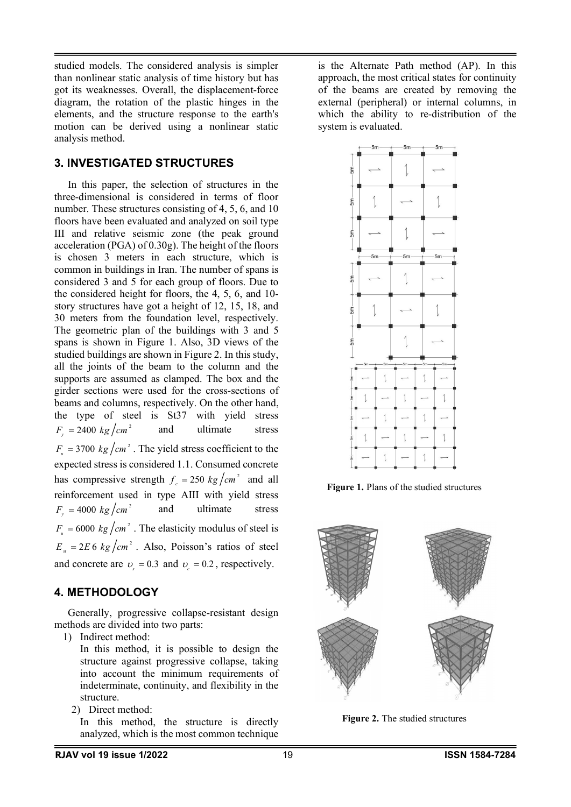studied models. The considered analysis is simpler than nonlinear static analysis of time history but has got its weaknesses. Overall, the displacement-force diagram, the rotation of the plastic hinges in the elements, and the structure response to the earth's motion can be derived using a nonlinear static analysis method.

# **3. INVESTIGATED STRUCTURES**

In this paper, the selection of structures in the three-dimensional is considered in terms of floor number. These structures consisting of 4, 5, 6, and 10 floors have been evaluated and analyzed on soil type III and relative seismic zone (the peak ground acceleration (PGA) of 0.30g). The height of the floors is chosen 3 meters in each structure, which is common in buildings in Iran. The number of spans is considered 3 and 5 for each group of floors. Due to the considered height for floors, the 4, 5, 6, and 10 story structures have got a height of 12, 15, 18, and 30 meters from the foundation level, respectively. The geometric plan of the buildings with 3 and 5 spans is shown in Figure 1. Also, 3D views of the studied buildings are shown in Figure 2. In this study, all the joints of the beam to the column and the supports are assumed as clamped. The box and the girder sections were used for the cross-sections of beams and columns, respectively. On the other hand, the type of steel is St37 with yield stress  $F_x = 2400 \text{ kg/cm}^2$  and ultimate stress  $F_v = 2400 \text{ kg/cm}^2$  $F_u = 3700 \text{ kg/cm}^2$ . The yield stress coefficient to the expected stress is considered 1.1. Consumed concrete has compressive strength  $f_c = 250 \text{ kg/cm}^2$  and all reinforcement used in type AIII with yield stress  $F = 4000 \text{ kg/cm}^2$  and ultimate stress  $F_{\rm g} = 4000 \; kg/cm^2$  $F_{\mu} = 6000 \ kg/cm^2$ . The elasticity modulus of steel is  $E_{st} = 2E6 \frac{kg}{cm^2}$ . Also, Poisson's ratios of steel and concrete are  $v_e = 0.3$  and  $v_e = 0.2$ , respectively.

# **4. METHODOLOGY**

Generally, progressive collapse-resistant design methods are divided into two parts:

1) Indirect method:

- In this method, it is possible to design the structure against progressive collapse, taking into account the minimum requirements of indeterminate, continuity, and flexibility in the structure.
- 2) Direct method:

In this method, the structure is directly analyzed, which is the most common technique is the Alternate Path method (AP). In this approach, the most critical states for continuity of the beams are created by removing the external (peripheral) or internal columns, in which the ability to re-distribution of the system is evaluated.



**Figure 1.** Plans of the studied structures



**Figure 2.** The studied structures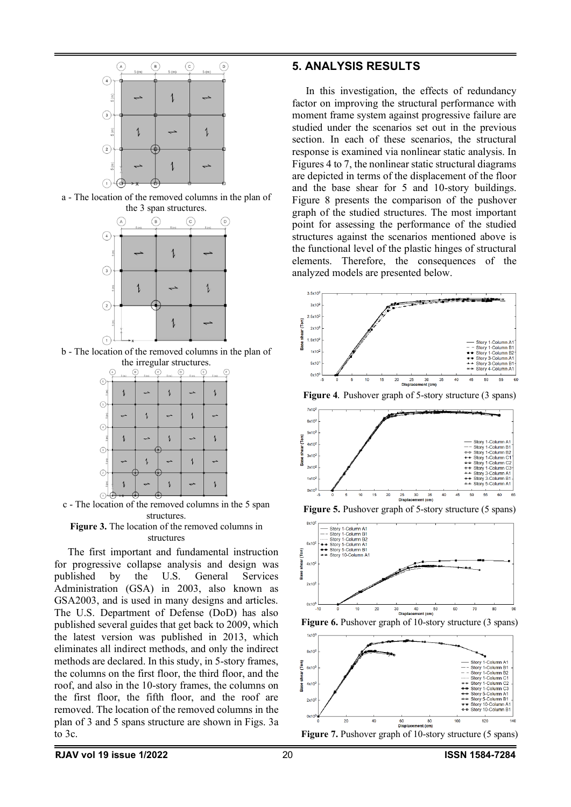

a - The location of the removed columns in the plan of the 3 span structures.



b - The location of the removed columns in the plan of the irregular structures.



c - The location of the removed columns in the 5 span structures.

**Figure 3.** The location of the removed columns in structures

The first important and fundamental instruction for progressive collapse analysis and design was published by the U.S. General Services Administration (GSA) in 2003, also known as GSA2003, and is used in many designs and articles. The U.S. Department of Defense (DoD) has also published several guides that get back to 2009, which the latest version was published in 2013, which eliminates all indirect methods, and only the indirect methods are declared. In this study, in 5-story frames, the columns on the first floor, the third floor, and the roof, and also in the 10-story frames, the columns on the first floor, the fifth floor, and the roof are removed. The location of the removed columns in the plan of 3 and 5 spans structure are shown in Figs. 3a to 3c.

#### **5. ANALYSIS RESULTS**

In this investigation, the effects of redundancy factor on improving the structural performance with moment frame system against progressive failure are studied under the scenarios set out in the previous section. In each of these scenarios, the structural response is examined via nonlinear static analysis. In Figures 4 to 7, the nonlinear static structural diagrams are depicted in terms of the displacement of the floor and the base shear for 5 and 10-story buildings. Figure 8 presents the comparison of the pushover graph of the studied structures. The most important point for assessing the performance of the studied structures against the scenarios mentioned above is the functional level of the plastic hinges of structural elements. Therefore, the consequences of the analyzed models are presented below.



**Figure 4***.* Pushover graph of 5-story structure (3 spans)







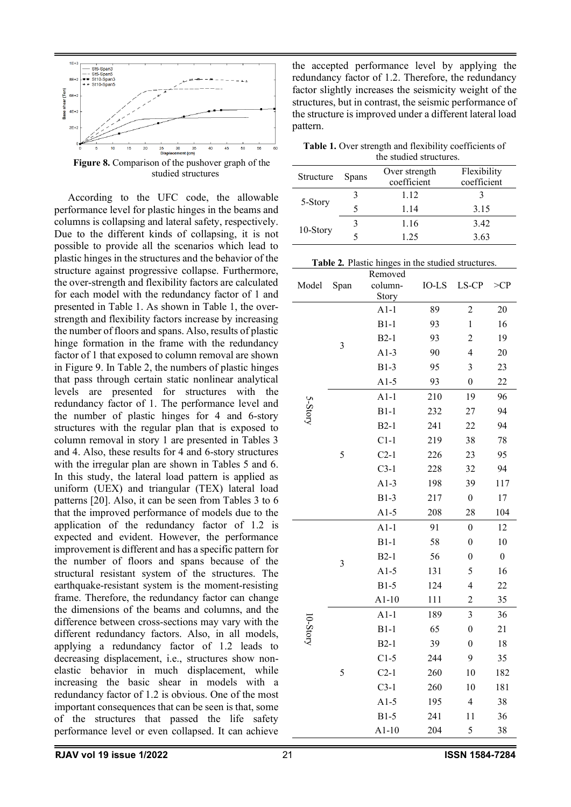

**Figure 8.** Comparison of the pushover graph of the studied structures

According to the UFC code, the allowable performance level for plastic hinges in the beams and columns is collapsing and lateral safety, respectively. Due to the different kinds of collapsing, it is not possible to provide all the scenarios which lead to plastic hinges in the structures and the behavior of the structure against progressive collapse. Furthermore, the over-strength and flexibility factors are calculated for each model with the redundancy factor of 1 and presented in Table 1. As shown in Table 1, the overstrength and flexibility factors increase by increasing the number of floors and spans. Also, results of plastic hinge formation in the frame with the redundancy factor of 1 that exposed to column removal are shown in Figure 9. In Table 2, the numbers of plastic hinges that pass through certain static nonlinear analytical levels are presented for structures with the redundancy factor of 1. The performance level and the number of plastic hinges for 4 and 6-story structures with the regular plan that is exposed to column removal in story 1 are presented in Tables 3 and 4. Also, these results for 4 and 6-story structures with the irregular plan are shown in Tables 5 and 6. In this study, the lateral load pattern is applied as uniform (UEX) and triangular (TEX) lateral load patterns [20]. Also, it can be seen from Tables 3 to 6 that the improved performance of models due to the application of the redundancy factor of 1.2 is expected and evident. However, the performance improvement is different and has a specific pattern for the number of floors and spans because of the structural resistant system of the structures. The earthquake-resistant system is the moment-resisting frame. Therefore, the redundancy factor can change the dimensions of the beams and columns, and the difference between cross-sections may vary with the different redundancy factors. Also, in all models, applying a redundancy factor of 1.2 leads to decreasing displacement, i.e., structures show nonelastic behavior in much displacement, while increasing the basic shear in models with a redundancy factor of 1.2 is obvious. One of the most important consequences that can be seen is that, some of the structures that passed the life safety performance level or even collapsed. It can achieve

the accepted performance level by applying the redundancy factor of 1.2. Therefore, the redundancy factor slightly increases the seismicity weight of the structures, but in contrast, the seismic performance of the structure is improved under a different lateral load pattern.

**Table 1.** Over strength and flexibility coefficients of the studied structures.

| Structure | <b>Spans</b> | Over strength<br>coefficient | Flexibility<br>coefficient |
|-----------|--------------|------------------------------|----------------------------|
| 5-Story   |              | 1.12                         |                            |
|           |              | 1.14                         | 3.15                       |
| 10-Story  |              | 1.16                         | 3.42                       |
|           |              | 1.25                         | 3.63                       |

|  |               |  | Table 2. Plastic hinges in the studied structures. |  |
|--|---------------|--|----------------------------------------------------|--|
|  | $D$ and axial |  |                                                    |  |

|          |      | Removed |       |                         |                  |
|----------|------|---------|-------|-------------------------|------------------|
| Model    | Span | column- | IO-LS | LS-CP                   | >CP              |
|          |      | Story   |       |                         |                  |
|          |      | $A1-1$  | 89    | $\overline{c}$          | 20               |
|          |      | $B1-1$  | 93    | $\mathbf 1$             | 16               |
|          | 3    | $B2-1$  | 93    | $\overline{2}$          | 19               |
|          |      | $A1-3$  | 90    | 4                       | 20               |
|          |      | $B1-3$  | 95    | 3                       | 23               |
|          |      | $A1-5$  | 93    | $\overline{0}$          | 22               |
|          |      | $A1-1$  | 210   | 19                      | 96               |
| 5-Story  |      | $B1-1$  | 232   | 27                      | 94               |
|          |      | $B2-1$  | 241   | 22                      | 94               |
|          |      | $C1-1$  | 219   | 38                      | 78               |
|          | 5    | $C2-1$  | 226   | 23                      | 95               |
|          |      | $C3-1$  | 228   | 32                      | 94               |
|          |      | $A1-3$  | 198   | 39                      | 117              |
|          |      | $B1-3$  | 217   | $\boldsymbol{0}$        | 17               |
|          |      | $A1-5$  | 208   | 28                      | 104              |
|          |      | $A1-1$  | 91    | $\boldsymbol{0}$        | 12               |
|          | 3    | $B1-1$  | 58    | $\boldsymbol{0}$        | 10               |
|          |      | $B2-1$  | 56    | $\boldsymbol{0}$        | $\boldsymbol{0}$ |
|          |      | $A1-5$  | 131   | 5                       | 16               |
|          |      | $B1-5$  | 124   | 4                       | 22               |
|          |      | $A1-10$ | 111   | $\overline{c}$          | 35               |
|          |      | $A1-1$  | 189   | 3                       | 36               |
| 10-Story |      | $B1-1$  | 65    | $\boldsymbol{0}$        | 21               |
|          |      | $B2-1$  | 39    | $\boldsymbol{0}$        | 18               |
|          |      | $C1-5$  | 244   | 9                       | 35               |
|          | 5    | $C2-1$  | 260   | 10                      | 182              |
|          |      | $C3-1$  | 260   | 10                      | 181              |
|          |      | $A1-5$  | 195   | $\overline{\mathbf{4}}$ | 38               |
|          |      | $B1-5$  | 241   | 11                      | 36               |
|          |      | $A1-10$ | 204   | 5                       | 38               |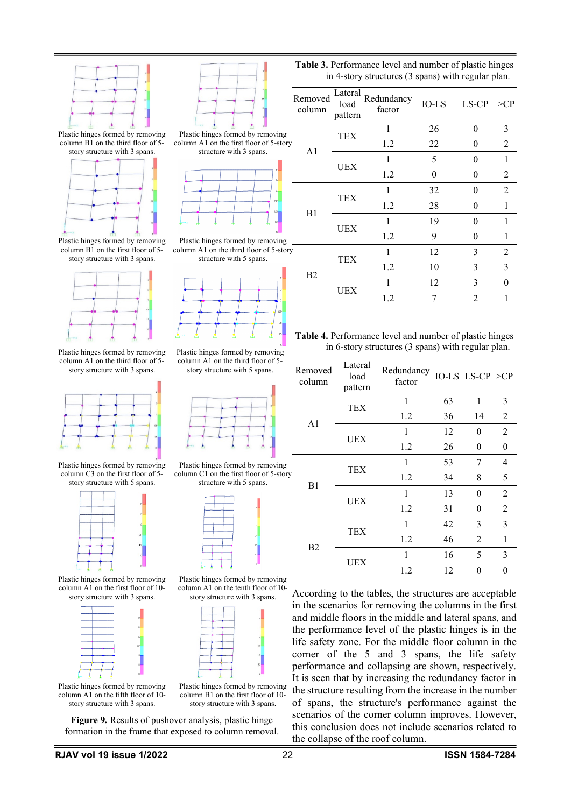

Plastic hinges formed by removing column  $\overline{B1}$  on the third floor of 5story structure with 3 spans.



Plastic hinges formed by removing column B1 on the first floor of 5 story structure with 3 spans.



Plastic hinges formed by removing column A1 on the third floor of  $5$ story structure with 3 spans.



Plastic hinges formed by removing column C3 on the first floor of 5 story structure with 5 spans.



Plastic hinges formed by removing column A1 on the first floor of 10 story structure with 3 spans.



Plastic hinges formed by removing column A1 on the fifth floor of 10 story structure with 3 spans.



**Table 3.** Performance level and number of plastic hinges in 4-story structures (3 spans) with regular plan.

|                                                                    | Removed<br>column | Lateral<br>load<br>pattern | Redundancy<br>factor | IO-LS | $LS-CP \ge CP$ |                |
|--------------------------------------------------------------------|-------------------|----------------------------|----------------------|-------|----------------|----------------|
| Plastic hinges formed by removing                                  |                   |                            |                      | 26    | $\Omega$       | 3              |
| column A1 on the first floor of 5-story                            |                   | TEX                        | 1.2                  | 22    | 0              | $\mathcal{L}$  |
| structure with 3 spans.                                            | A <sub>1</sub>    |                            |                      | 5     | $\Omega$       |                |
| $\mathbf{0}$                                                       |                   | UEX                        | 1.2                  | 0     | 0              | $\mathfrak{D}$ |
| c.                                                                 |                   | TEX                        |                      | 32    | $\Omega$       | $\mathfrak{D}$ |
| CP<br>$\mathsf{LS}$ .                                              | B1                |                            | 1.2                  | 28    | $\theta$       |                |
| 10 <sub>1</sub><br>m<br>m                                          |                   | UEX                        |                      | 19    | $\Omega$       |                |
| Plastic hinges formed by removing                                  |                   |                            | 1.2                  | 9     | 0              |                |
| column A1 on the third floor of 5-story<br>structure with 5 spans. |                   | TEX                        |                      | 12    | 3              | $\mathfrak{D}$ |
|                                                                    | B <sub>2</sub>    |                            | 1.2                  | 10    | 3              | 3              |
|                                                                    |                   | UEX                        |                      | 12    | 3              |                |
|                                                                    |                   |                            | 1.2                  |       |                |                |

**Table 4.** Performance level and number of plastic hinges in 6-story structures (3 spans) with regular plan.

| Removed<br>column | Lateral<br>load<br>pattern | Redundancy<br>factor |    | IO-LS LS-CP $\geq CP$ |   |
|-------------------|----------------------------|----------------------|----|-----------------------|---|
|                   | TEX                        | 1                    | 63 | 1                     | 3 |
| A <sub>1</sub>    |                            | 1.2                  | 36 | 14                    | 2 |
|                   | UEX                        | 1                    | 12 | $\theta$              | 2 |
|                   |                            | 1.2                  | 26 | 0                     | 0 |
|                   | TEX                        | 1                    | 53 | 7                     | 4 |
| B <sub>1</sub>    |                            | 1.2                  | 34 | 8                     | 5 |
|                   | UEX                        | 1                    | 13 | 0                     | 2 |
|                   |                            | 1.2                  | 31 | 0                     | 2 |
|                   |                            | 1                    | 42 | 3                     | 3 |
|                   | TEX                        | 1.2                  | 46 | 2                     | 1 |
| B <sub>2</sub>    |                            | 1                    | 16 | 5                     | 3 |
|                   | UEX                        | 1.2                  | 12 |                       |   |

According to the tables, the structures are acceptable in the scenarios for removing the columns in the first and middle floors in the middle and lateral spans, and the performance level of the plastic hinges is in the life safety zone. For the middle floor column in the corner of the 5 and 3 spans, the life safety performance and collapsing are shown, respectively. It is seen that by increasing the redundancy factor in the structure resulting from the increase in the number of spans, the structure's performance against the scenarios of the corner column improves. However, this conclusion does not include scenarios related to the collapse of the roof column.

Plastic hinges formed by removing column A1 on the third floor of 5 story structure with 5 spans.



Plastic hinges formed by removing column C1 on the first floor of 5-story structure with 5 spans.







Plastic hinges formed by removing column B1 on the first floor of 10 story structure with 3 spans.

**Figure 9***.* Results of pushover analysis, plastic hinge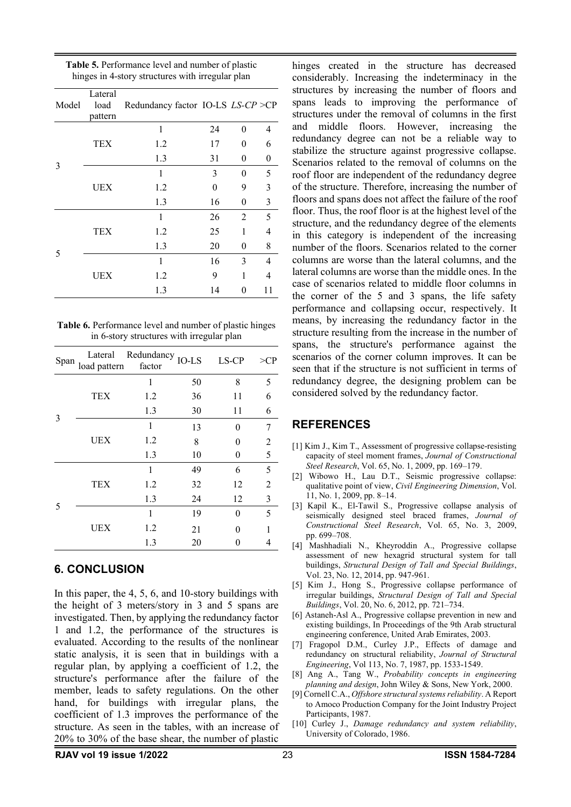| Model | Lateral<br>load<br>pattern | Redundancy factor IO-LS LS-CP >CP |          |          |    |
|-------|----------------------------|-----------------------------------|----------|----------|----|
|       |                            | 1                                 | 24       | 0        | 4  |
|       | TEX                        | 1.2                               | 17       | 0        | 6  |
|       |                            | 1.3                               | 31       | 0        | 0  |
| 3     |                            | 1                                 | 3        | $\theta$ | 5  |
|       | UEX                        | 1.2                               | $\theta$ | 9        | 3  |
|       |                            | 1.3                               | 16       | 0        | 3  |
|       |                            | 1                                 | 26       | 2        | 5  |
|       | TEX                        | 1.2                               | 25       | 1        | 4  |
| 5     |                            | 1.3                               | 20       | 0        | 8  |
|       |                            | 1                                 | 16       | 3        | 4  |
|       | UEX                        | 1.2                               | 9        | 1        | 4  |
|       |                            | 1.3                               | 14       | 0        | 11 |

**Table 5.** Performance level and number of plastic hinges in 4-story structures with irregular plan

**Table 6.** Performance level and number of plastic hinges in 6-story structures with irregular plan

| Span |            | Lateral Redundancy IO-LS<br>load pattern factor |    | LS-CP | >CP |
|------|------------|-------------------------------------------------|----|-------|-----|
|      |            | 1                                               | 50 | 8     | 5   |
|      | TEX        | 1.2                                             | 36 | 11    | 6   |
| 3    |            | 1.3                                             | 30 | 11    | 6   |
|      |            | 1                                               | 13 | 0     | 7   |
|      | UEX        | 1.2                                             | 8  | 0     | 2   |
|      |            | 1.3                                             | 10 | 0     | 5   |
| 5    |            | 1                                               | 49 | 6     | 5   |
|      | TEX        | 1.2                                             | 32 | 12    | 2   |
|      |            | 1.3                                             | 24 | 12    | 3   |
|      |            | 1                                               | 19 | 0     | 5   |
|      | <b>UEX</b> | 1.2                                             | 21 | O     |     |
|      |            | 1.3                                             | 20 |       | 4   |

#### **6. CONCLUSION**

In this paper, the 4, 5, 6, and 10-story buildings with the height of 3 meters/story in 3 and 5 spans are investigated. Then, by applying the redundancy factor 1 and 1.2, the performance of the structures is evaluated. According to the results of the nonlinear static analysis, it is seen that in buildings with a regular plan, by applying a coefficient of 1.2, the structure's performance after the failure of the member, leads to safety regulations. On the other hand, for buildings with irregular plans, the coefficient of 1.3 improves the performance of the structure. As seen in the tables, with an increase of 20% to 30% of the base shear, the number of plastic

hinges created in the structure has decreased considerably. Increasing the indeterminacy in the structures by increasing the number of floors and spans leads to improving the performance of structures under the removal of columns in the first and middle floors. However, increasing the redundancy degree can not be a reliable way to stabilize the structure against progressive collapse. Scenarios related to the removal of columns on the roof floor are independent of the redundancy degree of the structure. Therefore, increasing the number of floors and spans does not affect the failure of the roof floor. Thus, the roof floor is at the highest level of the structure, and the redundancy degree of the elements in this category is independent of the increasing number of the floors. Scenarios related to the corner columns are worse than the lateral columns, and the lateral columns are worse than the middle ones. In the case of scenarios related to middle floor columns in the corner of the 5 and 3 spans, the life safety performance and collapsing occur, respectively. It means, by increasing the redundancy factor in the structure resulting from the increase in the number of spans, the structure's performance against the scenarios of the corner column improves. It can be seen that if the structure is not sufficient in terms of redundancy degree, the designing problem can be considered solved by the redundancy factor.

# **REFERENCES**

- [1] Kim J., Kim T., Assessment of progressive collapse-resisting capacity of steel moment frames, *Journal of Constructional Steel Research*, Vol. 65, No. 1, 2009, pp. 169–179.
- [2] Wibowo H., Lau D.T., Seismic progressive collapse: qualitative point of view, *Civil Engineering Dimension*, Vol. 11, No. 1, 2009, pp. 8–14.
- [3] Kapil K., El-Tawil S., Progressive collapse analysis of seismically designed steel braced frames, *Journal of Constructional Steel Research*, Vol. 65, No. 3, 2009, pp. 699–708.
- [4] Mashhadiali N., Kheyroddin A., Progressive collapse assessment of new hexagrid structural system for tall buildings, *Structural Design of Tall and Special Buildings*, Vol. 23, No. 12, 2014, pp. 947-961.
- [5] Kim J., Hong S., Progressive collapse performance of irregular buildings, *Structural Design of Tall and Special Buildings*, Vol. 20, No. 6, 2012, pp. 721–734.
- [6] Astaneh-Asl A., Progressive collapse prevention in new and existing buildings, In Proceedings of the 9th Arab structural engineering conference, United Arab Emirates, 2003.
- [7] Fragopol D.M., Curley J.P., Effects of damage and redundancy on structural reliability, *Journal of Structural Engineering*, Vol 113, No. 7, 1987, pp. 1533-1549.
- [8] Ang A., Tang W., *Probability concepts in engineering planning and design*, John Wiley & Sons, New York, 2000.
- [9] Cornell C.A., *Offshore structural systems reliability*. A Report to Amoco Production Company for the Joint Industry Project Participants, 1987.
- [10] Curley J., *Damage redundancy and system reliability*, University of Colorado, 1986.